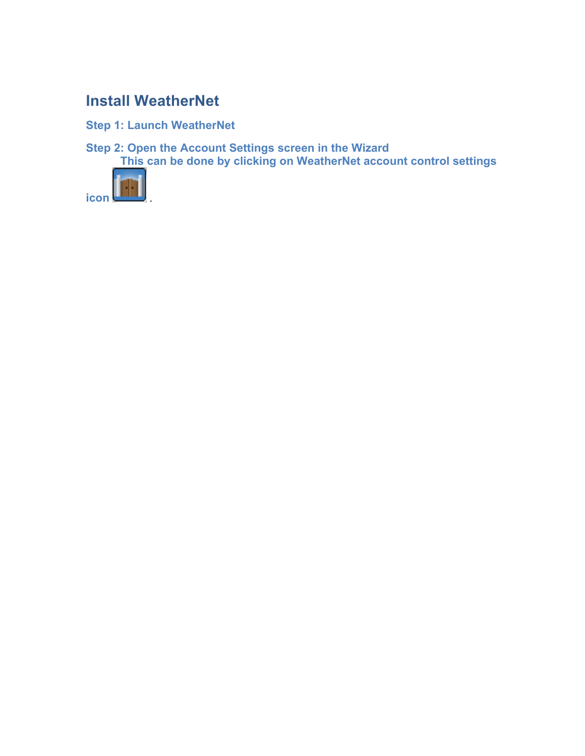# **Install WeatherNet**

**Step 1: Launch WeatherNet**

**Step 2: Open the Account Settings screen in the Wizard This can be done by clicking on WeatherNet account control settings** 

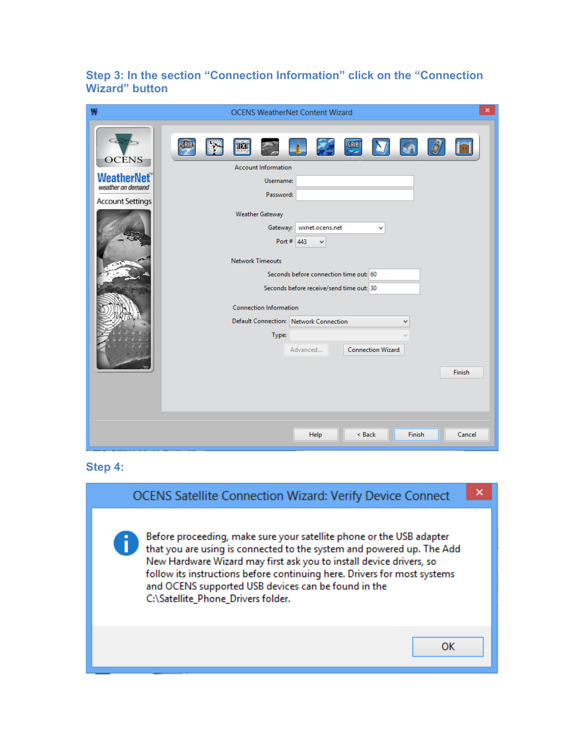## **Step 3: In the section "Connection Information" click on the "Connection Wizard" button**

| ₩                                                                                  | <b>OCENS WeatherNet Content Wizard</b>                                                                                                                                                                                                                                                                                                                                                                                 | $\pmb{\times}$ |
|------------------------------------------------------------------------------------|------------------------------------------------------------------------------------------------------------------------------------------------------------------------------------------------------------------------------------------------------------------------------------------------------------------------------------------------------------------------------------------------------------------------|----------------|
| <b>OCENS</b><br><b>WeatherNet®</b><br>weather on demand<br><b>Account Settings</b> | GRIB<br>GRIB<br><b>IN</b><br><b>Account Information</b><br>Username:<br>Password:<br><b>Weather Gateway</b><br>Gateway:<br>wxnet.ocens.net<br>v<br>Port # $443$<br>v<br><b>Network Timeouts</b><br>Seconds before connection time out: 60<br>Seconds before receive/send time out: 30<br><b>Connection Information</b><br>Default Connection: Network Connection<br>v<br>Type:<br><b>Connection Wizard</b><br>Advanced |                |
|                                                                                    | Finish                                                                                                                                                                                                                                                                                                                                                                                                                 |                |
|                                                                                    |                                                                                                                                                                                                                                                                                                                                                                                                                        |                |
|                                                                                    |                                                                                                                                                                                                                                                                                                                                                                                                                        |                |
|                                                                                    | Finish<br>Help<br>< Back<br>Cancel                                                                                                                                                                                                                                                                                                                                                                                     |                |

### **Step 4:**

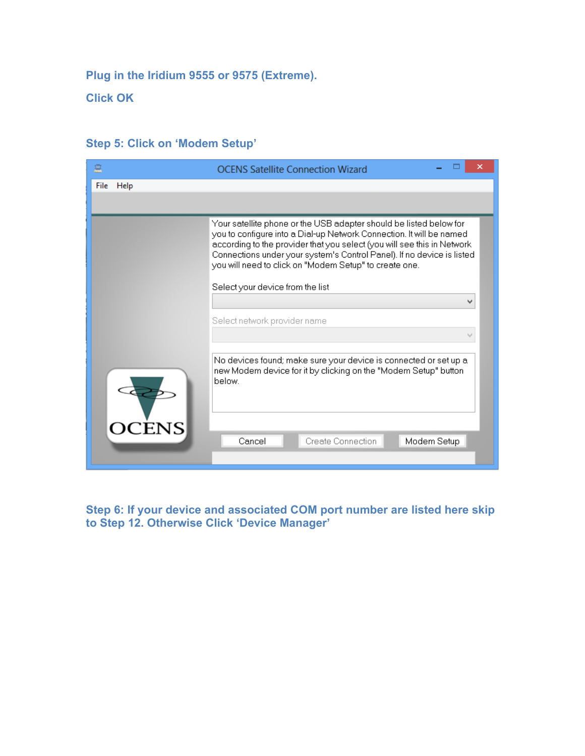**Plug in the Iridium 9555 or 9575 (Extreme).** 

**Click OK**

| 爲            | <b>OCENS Satellite Connection Wizard</b>                                                                                                                                                                                                                                                                                                                   |
|--------------|------------------------------------------------------------------------------------------------------------------------------------------------------------------------------------------------------------------------------------------------------------------------------------------------------------------------------------------------------------|
| File<br>Help |                                                                                                                                                                                                                                                                                                                                                            |
|              |                                                                                                                                                                                                                                                                                                                                                            |
|              | Your satellite phone or the USB adapter should be listed below for<br>you to configure into a Dial-up Network Connection. It will be named<br>according to the provider that you select (you will see this in Network-<br>Connections under your system's Control Panel). If no device is listed<br>you will need to click on "Modem Setup" to create one. |
|              | Select your device from the list                                                                                                                                                                                                                                                                                                                           |
|              | v                                                                                                                                                                                                                                                                                                                                                          |
|              | Select network provider name                                                                                                                                                                                                                                                                                                                               |
|              |                                                                                                                                                                                                                                                                                                                                                            |
|              | No devices found; make sure your device is connected or set up a<br>new Modem device for it by clicking on the "Modem Setup" button<br>below.                                                                                                                                                                                                              |
| <b>OCENS</b> | Create Connection<br>Modem Setup<br>Cancel                                                                                                                                                                                                                                                                                                                 |

## **Step 5: Click on 'Modem Setup'**

**Step 6: If your device and associated COM port number are listed here skip to Step 12. Otherwise Click 'Device Manager'**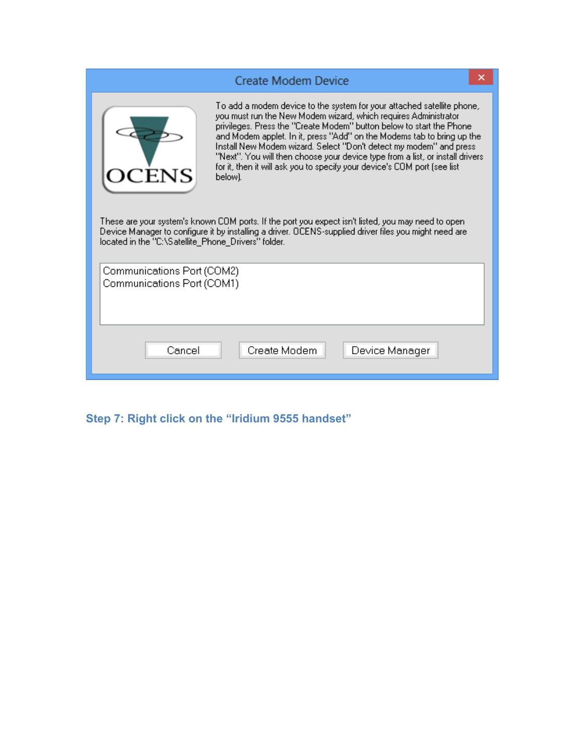|                                                          | ×<br>Create Modem Device                                                                                                                                                                                                                                                                                                                                                                                                                                                                                                                                                                                                                                                                                                                                     |  |
|----------------------------------------------------------|--------------------------------------------------------------------------------------------------------------------------------------------------------------------------------------------------------------------------------------------------------------------------------------------------------------------------------------------------------------------------------------------------------------------------------------------------------------------------------------------------------------------------------------------------------------------------------------------------------------------------------------------------------------------------------------------------------------------------------------------------------------|--|
| located in the "C:\Satellite_Phone_Drivers" folder.      | To add a modem device to the system for your attached satellite phone,<br>you must run the New Modem wizard, which requires Administrator<br>privileges. Press the "Create Modem" button below to start the Phone.<br>and Modem applet. In it, press "Add" on the Modems tab to bring up the<br>Install New Modem wizard. Select "Don't detect my modem" and press.<br>"Next". You will then choose your device type from a list, or install drivers.<br>for it, then it will ask you to specify your device's COM port (see list<br>below).<br>These are your system's known COM ports. If the port you expect isn't listed, you may need to open-<br>Device Manager to configure it by installing a driver. OCENS-supplied driver files you might need are |  |
| Communications Port (COM2)<br>Communications Port (COM1) |                                                                                                                                                                                                                                                                                                                                                                                                                                                                                                                                                                                                                                                                                                                                                              |  |
| Cancel                                                   | Create Modem<br>Device Manager                                                                                                                                                                                                                                                                                                                                                                                                                                                                                                                                                                                                                                                                                                                               |  |

**Step 7: Right click on the "Iridium 9555 handset"**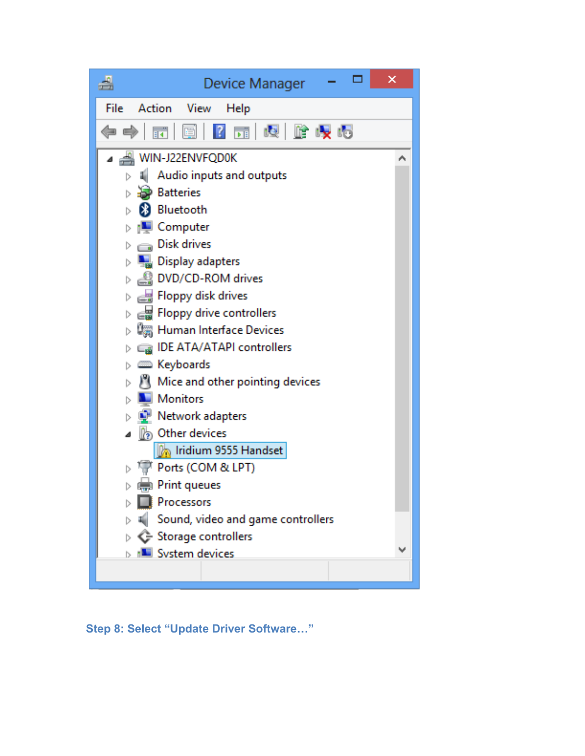

**Step 8: Select "Update Driver Software…"**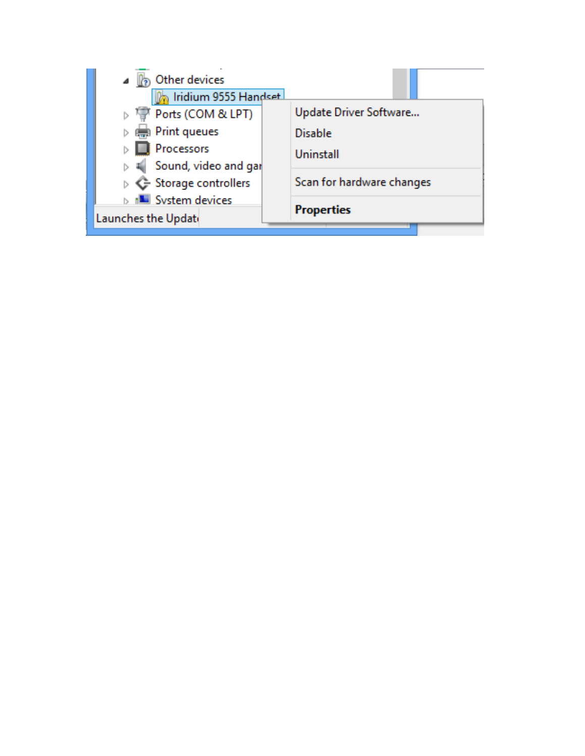| Other devices                  |                           |
|--------------------------------|---------------------------|
| Iridium 9555 Handset           |                           |
| <sup>T</sup> Ports (COM & LPT) | Update Driver Software    |
| Print queues                   | <b>Disable</b>            |
| <b>Processors</b>              | Uninstall                 |
| Sound, video and gar           |                           |
| ▷ <→ Storage controllers       | Scan for hardware changes |
| <b>IN System devices</b>       |                           |
| Launches the Update            | <b>Properties</b>         |
|                                |                           |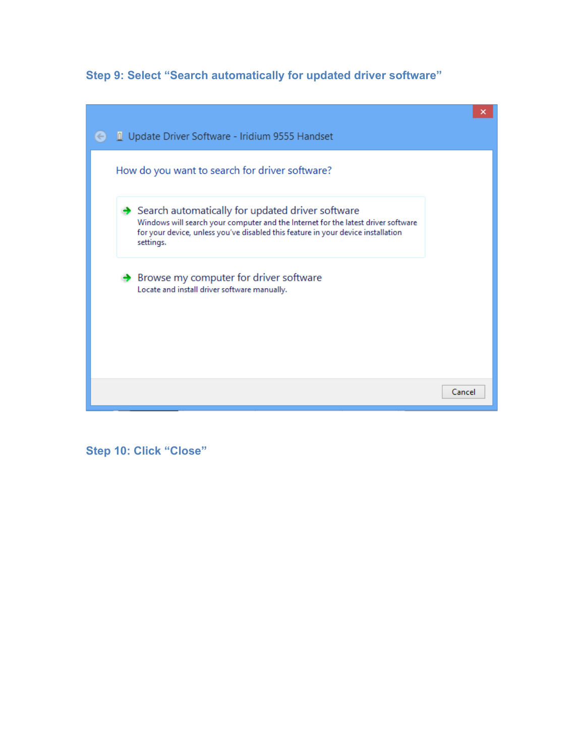**Step 9: Select "Search automatically for updated driver software"**

|                                                                                                                                                                                                                                                      | ×      |
|------------------------------------------------------------------------------------------------------------------------------------------------------------------------------------------------------------------------------------------------------|--------|
| Update Driver Software - Iridium 9555 Handset                                                                                                                                                                                                        |        |
| How do you want to search for driver software?                                                                                                                                                                                                       |        |
| $\rightarrow$ Search automatically for updated driver software<br>Windows will search your computer and the Internet for the latest driver software<br>for your device, unless you've disabled this feature in your device installation<br>settings. |        |
| $\rightarrow$ Browse my computer for driver software<br>Locate and install driver software manually.                                                                                                                                                 |        |
|                                                                                                                                                                                                                                                      |        |
|                                                                                                                                                                                                                                                      | Cancel |

**Step 10: Click "Close"**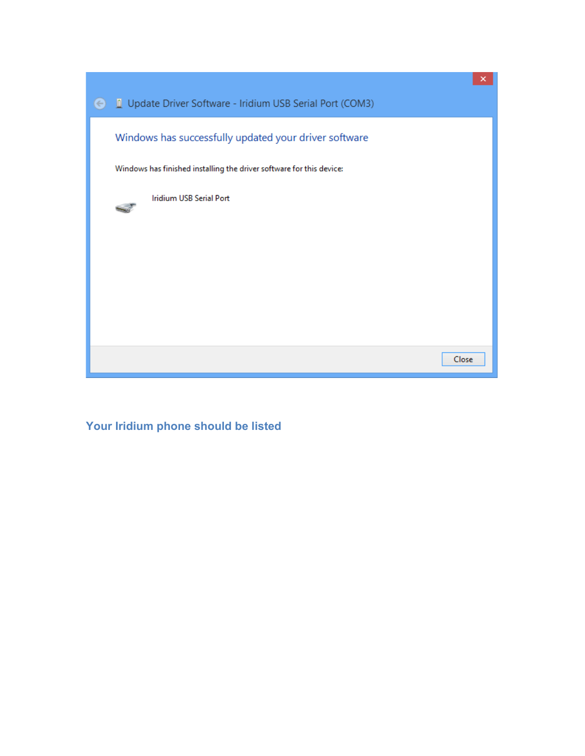

**Your Iridium phone should be listed**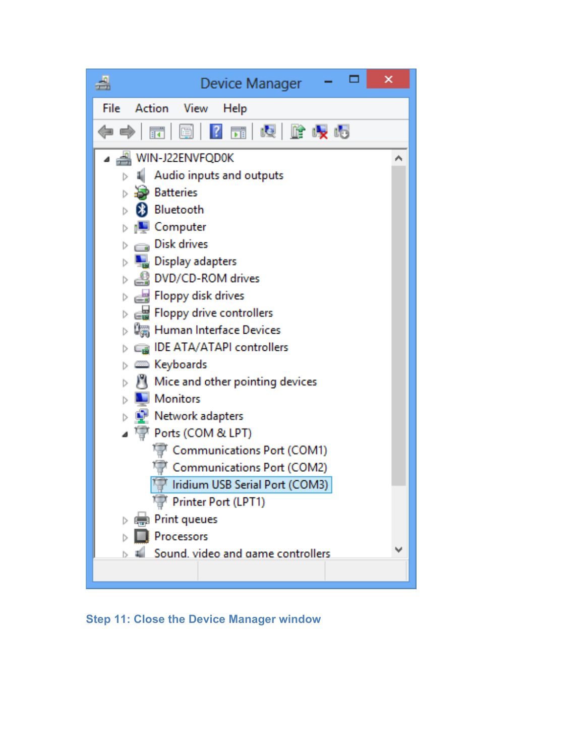

**Step 11: Close the Device Manager window**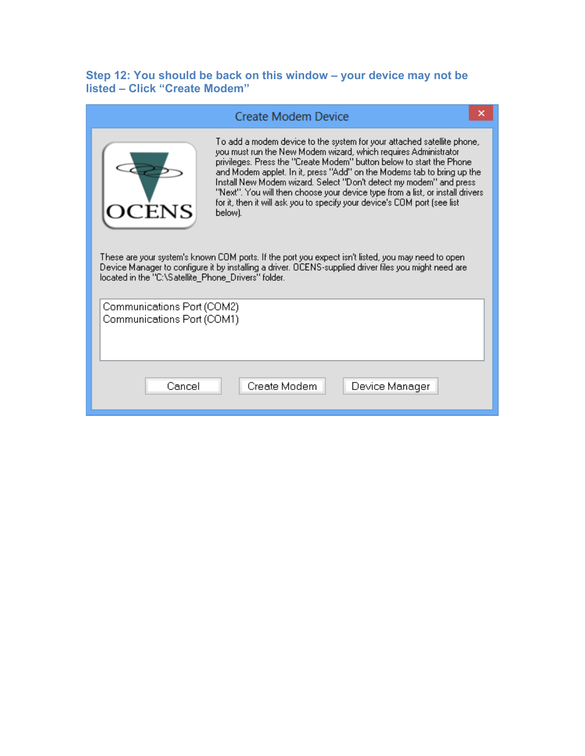#### **Step 12: You should be back on this window – your device may not be listed – Click "Create Modem"**

|                                                                                                                                                                                                                                                                                                                                                                                                                                                                                                                                                                                                                                                                                                                                                               | <b>Create Modem Device</b>     |  |
|---------------------------------------------------------------------------------------------------------------------------------------------------------------------------------------------------------------------------------------------------------------------------------------------------------------------------------------------------------------------------------------------------------------------------------------------------------------------------------------------------------------------------------------------------------------------------------------------------------------------------------------------------------------------------------------------------------------------------------------------------------------|--------------------------------|--|
| To add a modem device to the system for your attached satellite phone,<br>you must run the New Modem wizard, which requires Administrator<br>privileges. Press the "Create Modem" button below to start the Phone.<br>and Modem applet. In it, press "Add" on the Modems tab to bring up the<br>Install New Modem wizard. Select "Don't detect my modem" and press-<br>"Next". You will then choose your device type from a list, or install drivers.<br>for it, then it will ask you to specify your device's COM port (see list)<br>below).<br>These are your system's known COM ports. If the port you expect isn't listed, you may need to open-<br>Device Manager to configure it by installing a driver. OCENS-supplied driver files you might need are |                                |  |
| located in the "C:\Satellite_Phone_Drivers" folder.<br>Communications Port (COM2)<br>Communications Port (COM1)                                                                                                                                                                                                                                                                                                                                                                                                                                                                                                                                                                                                                                               |                                |  |
|                                                                                                                                                                                                                                                                                                                                                                                                                                                                                                                                                                                                                                                                                                                                                               |                                |  |
| Cancel                                                                                                                                                                                                                                                                                                                                                                                                                                                                                                                                                                                                                                                                                                                                                        | Create Modem<br>Device Manager |  |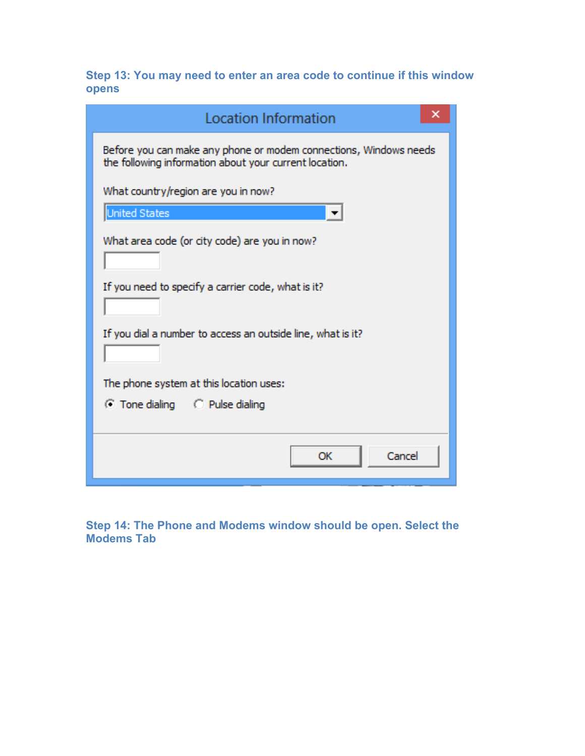**Step 13: You may need to enter an area code to continue if this window opens**

| <b>Location Information</b>                                                                                                 |  |
|-----------------------------------------------------------------------------------------------------------------------------|--|
| Before you can make any phone or modem connections, Windows needs<br>the following information about your current location. |  |
| What country/region are you in now?                                                                                         |  |
| <b>United States</b>                                                                                                        |  |
| What area code (or city code) are you in now?                                                                               |  |
| If you need to specify a carrier code, what is it?                                                                          |  |
| If you dial a number to access an outside line, what is it?                                                                 |  |
| The phone system at this location uses:                                                                                     |  |
| C Tone dialing C Pulse dialing                                                                                              |  |
|                                                                                                                             |  |
| Cancel<br>OK                                                                                                                |  |

**Step 14: The Phone and Modems window should be open. Select the Modems Tab**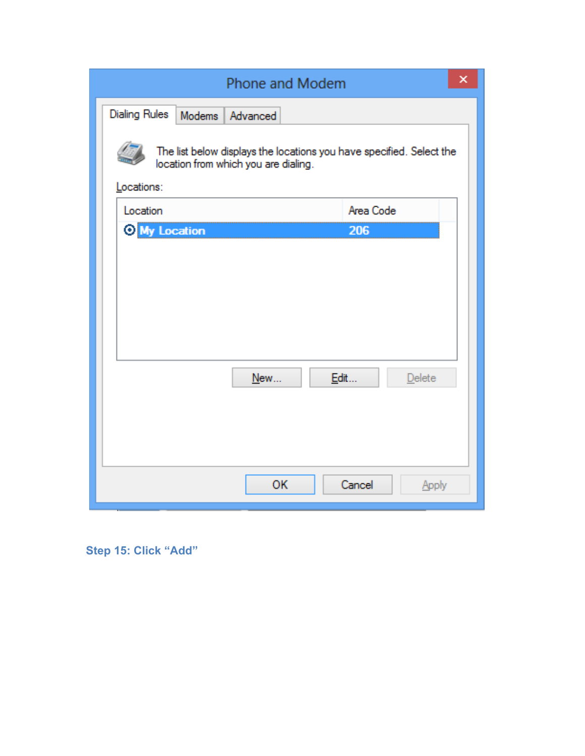| Phone and Modem                                                                                                            |                 | × |
|----------------------------------------------------------------------------------------------------------------------------|-----------------|---|
| <b>Dialing Rules</b><br>Modems Advanced                                                                                    |                 |   |
| The list below displays the locations you have specified. Select the<br>location from which you are dialing.<br>Locations: |                 |   |
| Location                                                                                                                   | Area Code       |   |
| O My Location                                                                                                              | 206             |   |
|                                                                                                                            |                 |   |
|                                                                                                                            |                 |   |
|                                                                                                                            |                 |   |
|                                                                                                                            |                 |   |
|                                                                                                                            |                 |   |
| Edit<br>New                                                                                                                | Delete          |   |
|                                                                                                                            |                 |   |
|                                                                                                                            |                 |   |
|                                                                                                                            |                 |   |
| ОK                                                                                                                         | Cancel<br>Apply |   |

# **Step 15: Click "Add"**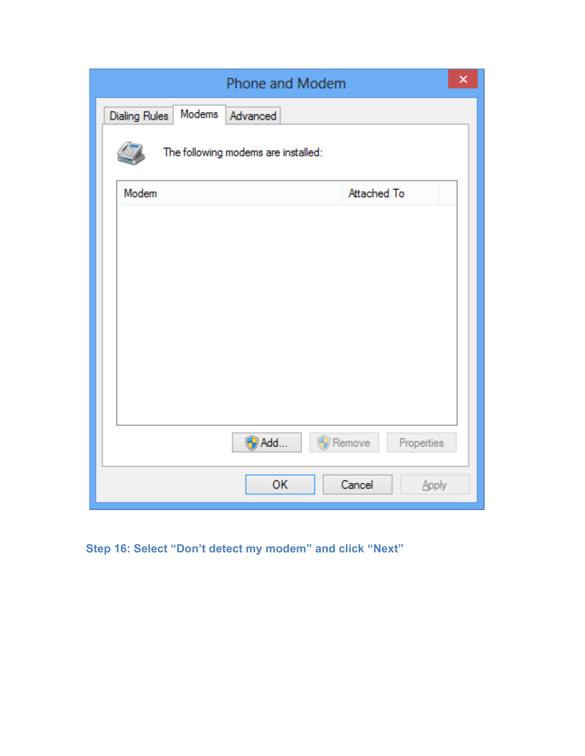| Phone and Modem                            | × |
|--------------------------------------------|---|
| Modems<br><b>Dialing Rules</b><br>Advanced |   |
| The following modems are installed:        |   |
| Modem<br>Attached To                       |   |
|                                            |   |
|                                            |   |
|                                            |   |
|                                            |   |
|                                            |   |
|                                            |   |
|                                            |   |
| <b>D</b> Add<br>Remove<br>Properties       |   |
| OK<br>Cancel<br>Apply                      |   |

**Step 16: Select "Don't detect my modem" and click "Next"**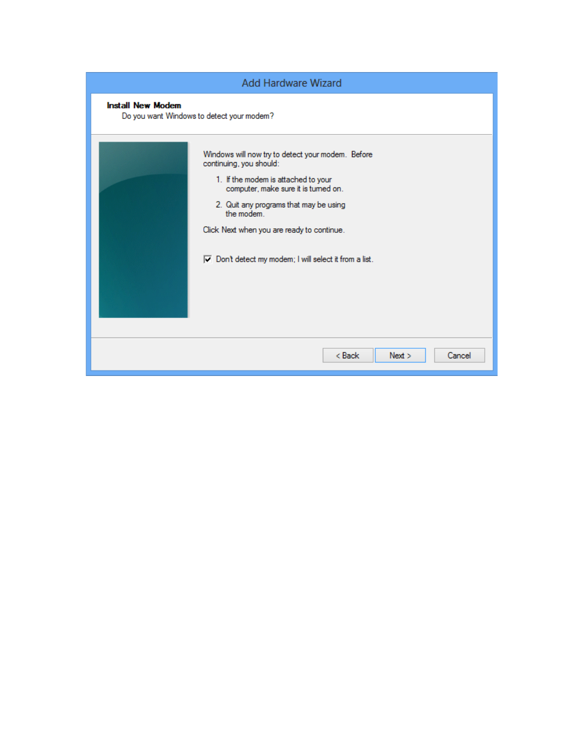| <b>Add Hardware Wizard</b> |                                                                                                                                                                                                                                                                                                                                            |  |
|----------------------------|--------------------------------------------------------------------------------------------------------------------------------------------------------------------------------------------------------------------------------------------------------------------------------------------------------------------------------------------|--|
| <b>Install New Modem</b>   | Do you want Windows to detect your modem?                                                                                                                                                                                                                                                                                                  |  |
|                            | Windows will now try to detect your modem. Before<br>continuing, you should:<br>1. If the modem is attached to your<br>computer, make sure it is turned on.<br>2. Quit any programs that may be using<br>the modem.<br>Click Next when you are ready to continue.<br>$\boxed{\smile}$ Don't detect my modem; I will select it from a list. |  |
|                            | $Back$<br>Cancel<br>Next >                                                                                                                                                                                                                                                                                                                 |  |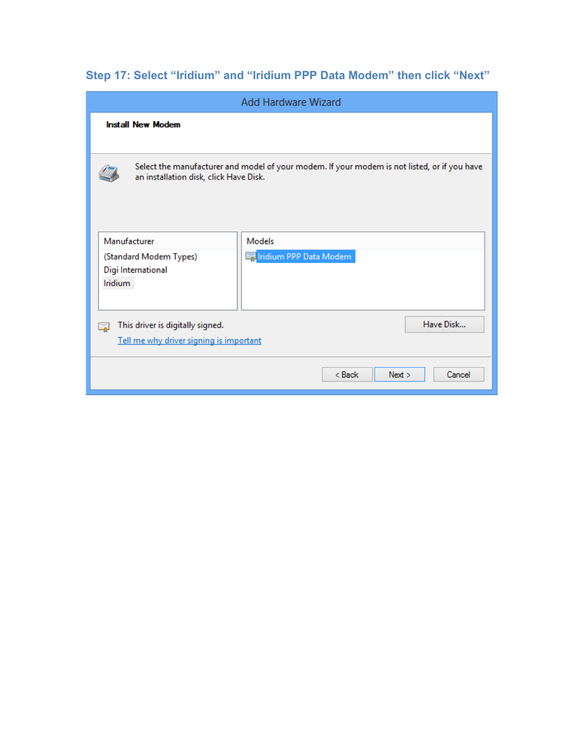**Step 17: Select "Iridium" and "Iridium PPP Data Modem" then click "Next"**

| <b>Add Hardware Wizard</b>                                                                                                 |                                                                                              |  |
|----------------------------------------------------------------------------------------------------------------------------|----------------------------------------------------------------------------------------------|--|
| <b>Install New Modem</b>                                                                                                   |                                                                                              |  |
| an installation disk, click Have Disk.                                                                                     | Select the manufacturer and model of your modem. If your modem is not listed, or if you have |  |
| Manufacturer<br>(Standard Modem Types)<br>Digi International<br><b>Iridium</b>                                             | <b>Models</b><br>Fail ridium PPP Data Modem                                                  |  |
| Have Disk<br>This driver is digitally signed.<br>E.<br>Tell me why driver signing is important<br>< Back<br>Cancel<br>Next |                                                                                              |  |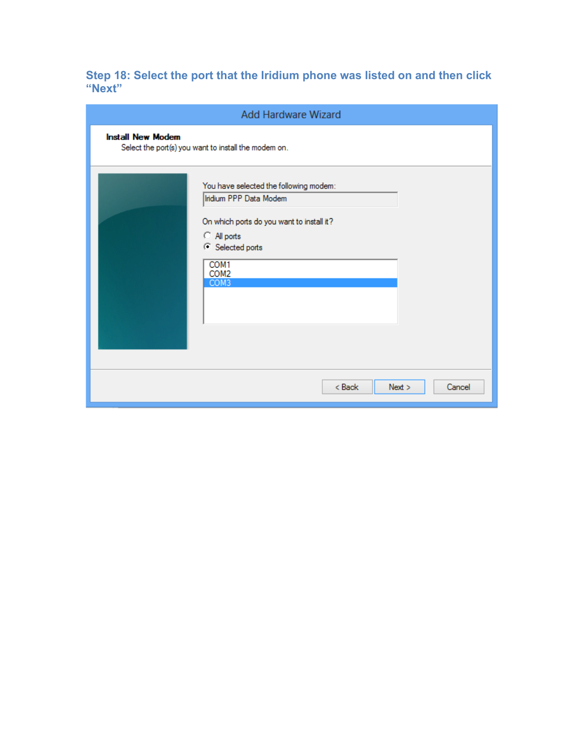**Step 18: Select the port that the Iridium phone was listed on and then click "Next"**

|                          | <b>Add Hardware Wizard</b>                                                                                                                                                           |
|--------------------------|--------------------------------------------------------------------------------------------------------------------------------------------------------------------------------------|
| <b>Install New Modem</b> | Select the port(s) you want to install the modem on.                                                                                                                                 |
|                          | You have selected the following modem:<br>Iridium PPP Data Modem<br>On which ports do you want to install it?<br>C All ports<br>C Selected ports<br>COM1<br>COM <sub>2</sub><br>COM3 |
|                          | $8$ Back<br>Next ><br>Cancel                                                                                                                                                         |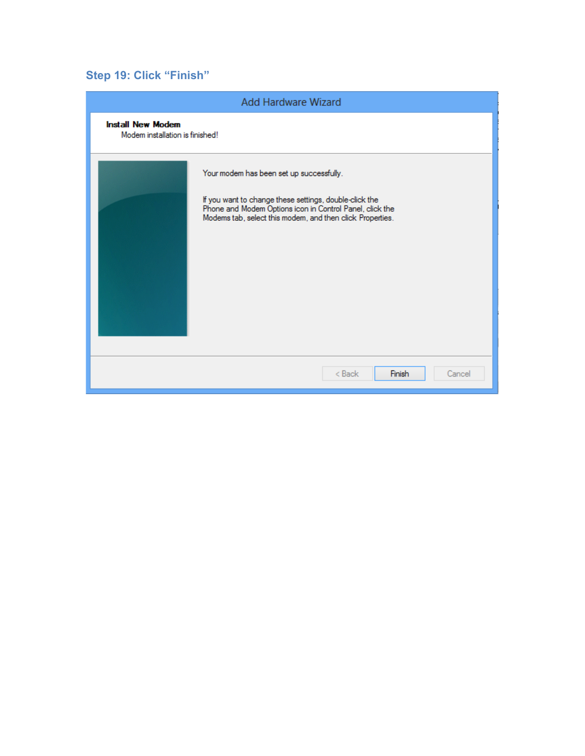# **Step 19: Click "Finish"**

|                                                             | <b>Add Hardware Wizard</b>                                                                                                                                                                                                  |
|-------------------------------------------------------------|-----------------------------------------------------------------------------------------------------------------------------------------------------------------------------------------------------------------------------|
| <b>Install New Modem</b><br>Modem installation is finished! |                                                                                                                                                                                                                             |
|                                                             | Your modem has been set up successfully.<br>If you want to change these settings, double-click the<br>Phone and Modem Options icon in Control Panel, click the<br>Modems tab, select this modem, and then click Properties. |
|                                                             | Finish<br>< Back<br>Cancel                                                                                                                                                                                                  |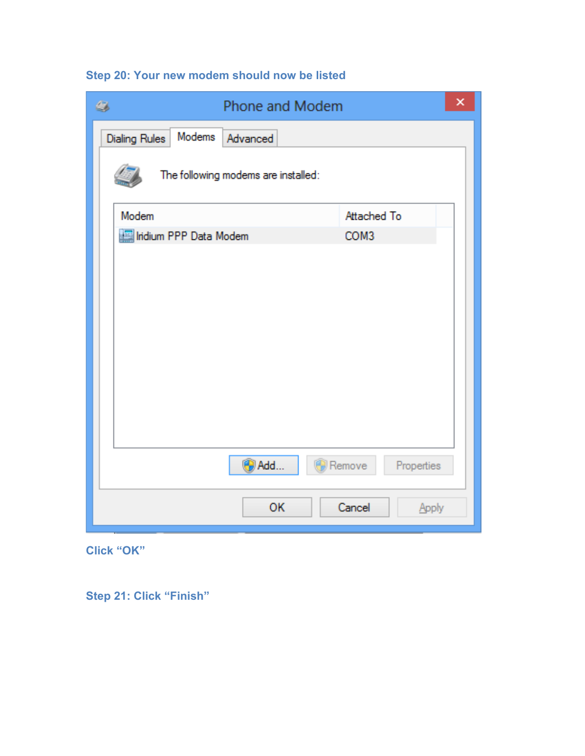| Step 20: Your new modem should now be listed |  |  |  |  |  |  |  |
|----------------------------------------------|--|--|--|--|--|--|--|
|----------------------------------------------|--|--|--|--|--|--|--|

| ٨<br>Phone and Modem                       |                      |  |
|--------------------------------------------|----------------------|--|
| Modems<br><b>Dialing Rules</b><br>Advanced |                      |  |
| The following modems are installed:        |                      |  |
| Modem                                      | Attached To          |  |
| Indium PPP Data Modem                      | COM3                 |  |
|                                            |                      |  |
|                                            |                      |  |
| <b>O</b> Add                               | Remove<br>Properties |  |
| <b>OK</b>                                  | Cancel<br>Apply      |  |

**Click "OK"**

**Step 21: Click "Finish"**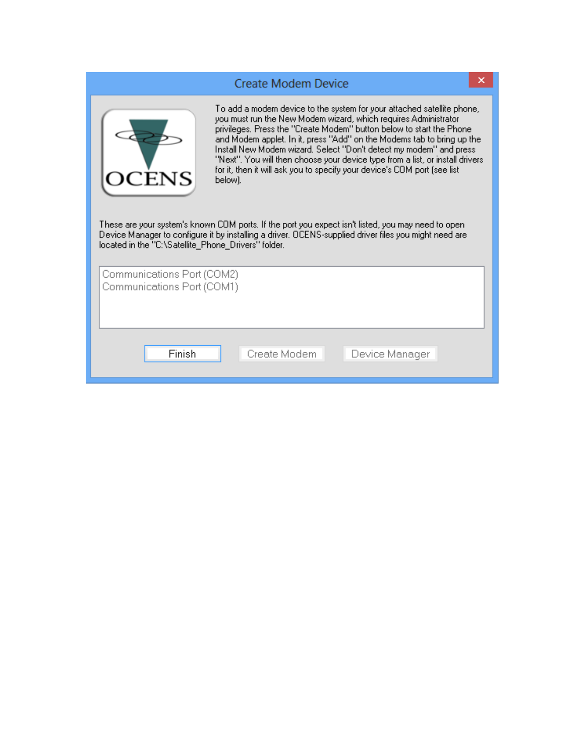|                                                                    | Create Modem Device                                                                                                                                                                                                                                                                                                                                                                                                                                                                                                                                                                                                                                                                                                                                          |  |
|--------------------------------------------------------------------|--------------------------------------------------------------------------------------------------------------------------------------------------------------------------------------------------------------------------------------------------------------------------------------------------------------------------------------------------------------------------------------------------------------------------------------------------------------------------------------------------------------------------------------------------------------------------------------------------------------------------------------------------------------------------------------------------------------------------------------------------------------|--|
| ${\rm ENS}$<br>located in the "C:\Satellite_Phone_Drivers" folder. | To add a modem device to the system for your attached satellite phone,<br>you must run the New Modem wizard, which requires Administrator<br>privileges. Press the "Create Modem" button below to start the Phone.<br>and Modem applet. In it, press "Add" on the Modems tab to bring up the<br>Install New Modem wizard. Select "Don't detect my modem" and press-<br>"Next". You will then choose your device type from a list, or install drivers.<br>for it, then it will ask you to specify your device's COM port (see list<br>below).<br>These are your system's known COM ports. If the port you expect isn't listed, you may need to open-<br>Device Manager to configure it by installing a driver. OCENS-supplied driver files you might need are |  |
| Communications Port (COM2)<br>Communications Port (COM1)           |                                                                                                                                                                                                                                                                                                                                                                                                                                                                                                                                                                                                                                                                                                                                                              |  |
| Finish                                                             | Create Modem<br>Device Manager                                                                                                                                                                                                                                                                                                                                                                                                                                                                                                                                                                                                                                                                                                                               |  |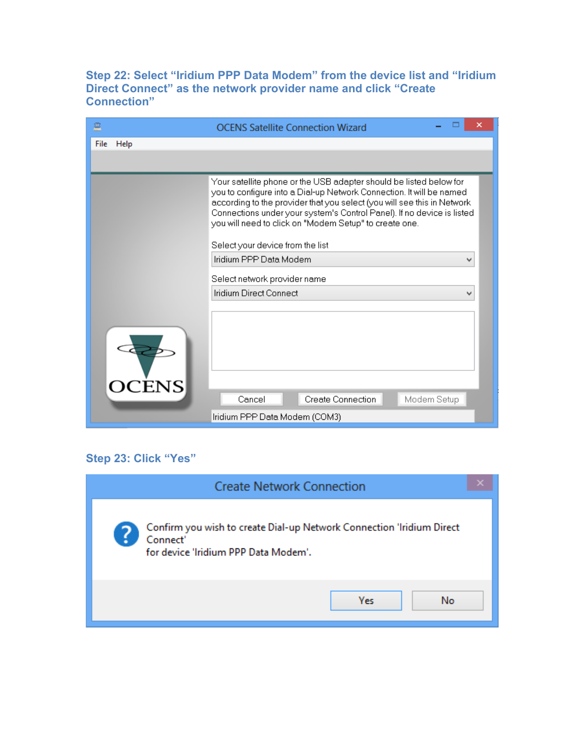**Step 22: Select "Iridium PPP Data Modem" from the device list and "Iridium Direct Connect" as the network provider name and click "Create Connection"**

| 흔            | <b>OCENS Satellite Connection Wizard</b>                                                                                                                                                                                                                                                                                                                                                      |  |  |  |
|--------------|-----------------------------------------------------------------------------------------------------------------------------------------------------------------------------------------------------------------------------------------------------------------------------------------------------------------------------------------------------------------------------------------------|--|--|--|
| File<br>Help |                                                                                                                                                                                                                                                                                                                                                                                               |  |  |  |
|              |                                                                                                                                                                                                                                                                                                                                                                                               |  |  |  |
|              | Your satellite phone or the USB adapter should be listed below for<br>you to configure into a Dial-up Network Connection. It will be named<br>according to the provider that you select (you will see this in Network<br>Connections under your system's Control Panel). If no device is listed<br>you will need to click on "Modem Setup" to create one.<br>Select your device from the list |  |  |  |
|              | Iridium PPP Data Modem                                                                                                                                                                                                                                                                                                                                                                        |  |  |  |
|              | Select network provider name                                                                                                                                                                                                                                                                                                                                                                  |  |  |  |
|              | Iridium Direct Connect                                                                                                                                                                                                                                                                                                                                                                        |  |  |  |
| <b>OCENS</b> |                                                                                                                                                                                                                                                                                                                                                                                               |  |  |  |
|              | Create Connection<br>Modem Setup<br>Cancel                                                                                                                                                                                                                                                                                                                                                    |  |  |  |
|              | Iridium PPP Data Modem (COM3)                                                                                                                                                                                                                                                                                                                                                                 |  |  |  |

## **Step 23: Click "Yes"**

| <b>Create Network Connection</b>                                                                                          |  |
|---------------------------------------------------------------------------------------------------------------------------|--|
| Confirm you wish to create Dial-up Network Connection 'Iridium Direct<br>Connect'<br>for device 'Iridium PPP Data Modem'. |  |
| <b>Yes</b><br>No                                                                                                          |  |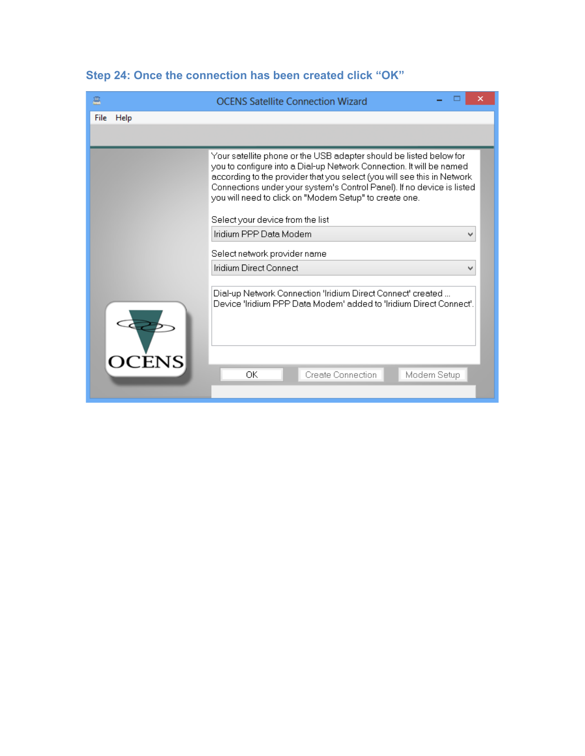| 프            | <b>OCENS Satellite Connection Wizard</b>                                                                                                                                                                                                                                                                                                                                                      |  |  |  |  |
|--------------|-----------------------------------------------------------------------------------------------------------------------------------------------------------------------------------------------------------------------------------------------------------------------------------------------------------------------------------------------------------------------------------------------|--|--|--|--|
| Help<br>File |                                                                                                                                                                                                                                                                                                                                                                                               |  |  |  |  |
|              |                                                                                                                                                                                                                                                                                                                                                                                               |  |  |  |  |
|              | Your satellite phone or the USB adapter should be listed below for<br>you to configure into a Dial-up Network Connection. It will be named<br>according to the provider that you select (you will see this in Network<br>Connections under your system's Control Panel). If no device is listed<br>you will need to click on "Modem Setup" to create one.<br>Select your device from the list |  |  |  |  |
|              | Iridium PPP Data Modem                                                                                                                                                                                                                                                                                                                                                                        |  |  |  |  |
|              | Select network provider name                                                                                                                                                                                                                                                                                                                                                                  |  |  |  |  |
|              | Iridium Direct Connect                                                                                                                                                                                                                                                                                                                                                                        |  |  |  |  |
|              | Dial-up Network Connection 'Iridium Direct Connect' created<br>Device "Iridium PPP Data Modem" added to "Iridium Direct Connect".                                                                                                                                                                                                                                                             |  |  |  |  |
| <b>OCENS</b> | ОK<br>Create Connection<br>Modem Setup                                                                                                                                                                                                                                                                                                                                                        |  |  |  |  |

# **Step 24: Once the connection has been created click "OK"**